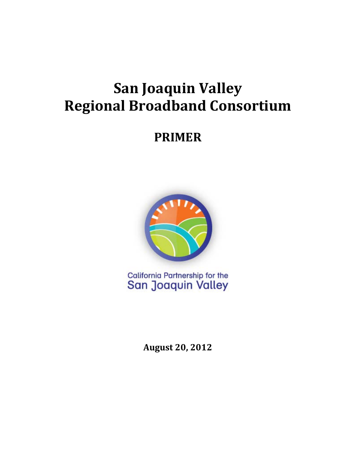# **San Joaquin Valley Regional Broadband Consortium**

## **PRIMER**



California Partnership for the **San Joaquin Valley** 

**August 20, 2012**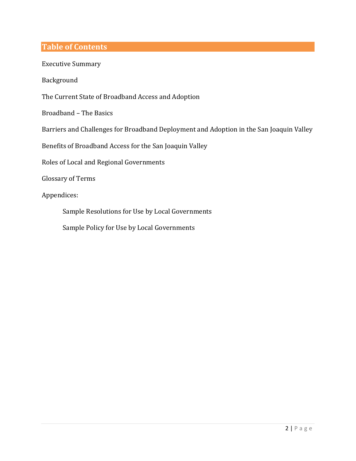## **Table of Contents**

Executive Summary Background The Current State of Broadband Access and Adoption Broadband – The Basics Barriers and Challenges for Broadband Deployment and Adoption in the San Joaquin Valley Benefits of Broadband Access for the San Joaquin Valley Roles of Local and Regional Governments Glossary of Terms Appendices: Sample Resolutions for Use by Local Governments Sample Policy for Use by Local Governments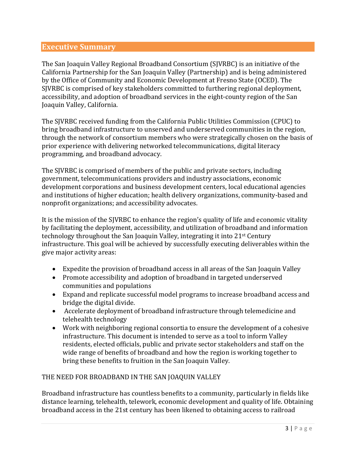## **Executive Summary**

The San Joaquin Valley Regional Broadband Consortium (SJVRBC) is an initiative of the California Partnership for the San Joaquin Valley (Partnership) and is being administered by the Office of Community and Economic Development at Fresno State (OCED). The SJVRBC is comprised of key stakeholders committed to furthering regional deployment, accessibility, and adoption of broadband services in the eight-county region of the San Joaquin Valley, California.

The SJVRBC received funding from the California Public Utilities Commission (CPUC) to bring broadband infrastructure to unserved and underserved communities in the region, through the network of consortium members who were strategically chosen on the basis of prior experience with delivering networked telecommunications, digital literacy programming, and broadband advocacy.

The SJVRBC is comprised of members of the public and private sectors, including government, telecommunications providers and industry associations, economic development corporations and business development centers, local educational agencies and institutions of higher education; health delivery organizations, community-based and nonprofit organizations; and accessibility advocates.

It is the mission of the SJVRBC to enhance the region's quality of life and economic vitality by facilitating the deployment, accessibility, and utilization of broadband and information technology throughout the San Joaquin Valley, integrating it into 21st Century infrastructure. This goal will be achieved by successfully executing deliverables within the give major activity areas:

- Expedite the provision of broadband access in all areas of the San Joaquin Valley
- Promote accessibility and adoption of broadband in targeted underserved communities and populations
- Expand and replicate successful model programs to increase broadband access and bridge the digital divide.
- Accelerate deployment of broadband infrastructure through telemedicine and telehealth technology
- Work with neighboring regional consortia to ensure the development of a cohesive infrastructure. This document is intended to serve as a tool to inform Valley residents, elected officials, public and private sector stakeholders and staff on the wide range of benefits of broadband and how the region is working together to bring these benefits to fruition in the San Joaquin Valley.

#### THE NEED FOR BROADBAND IN THE SAN JOAQUIN VALLEY

Broadband infrastructure has countless benefits to a community, particularly in fields like distance learning, telehealth, telework, economic development and quality of life. Obtaining broadband access in the 21st century has been likened to obtaining access to railroad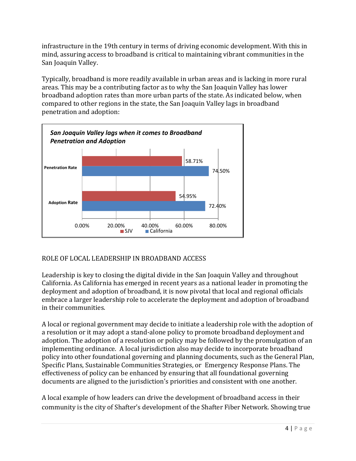infrastructure in the 19th century in terms of driving economic development. With this in mind, assuring access to broadband is critical to maintaining vibrant communities in the San Joaquin Valley.

Typically, broadband is more readily available in urban areas and is lacking in more rural areas. This may be a contributing factor as to why the San Joaquin Valley has lower broadband adoption rates than more urban parts of the state. As indicated below, when compared to other regions in the state, the San Joaquin Valley lags in broadband penetration and adoption:



## ROLE OF LOCAL LEADERSHIP IN BROADBAND ACCESS

Leadership is key to closing the digital divide in the San Joaquin Valley and throughout California. As California has emerged in recent years as a national leader in promoting the deployment and adoption of broadband, it is now pivotal that local and regional officials embrace a larger leadership role to accelerate the deployment and adoption of broadband in their communities.

A local or regional government may decide to initiate a leadership role with the adoption of a resolution or it may adopt a stand-alone policy to promote broadband deployment and adoption. The adoption of a resolution or policy may be followed by the promulgation of an implementing ordinance. A local jurisdiction also may decide to incorporate broadband policy into other foundational governing and planning documents, such as the General Plan, Specific Plans, Sustainable Communities Strategies, or Emergency Response Plans. The effectiveness of policy can be enhanced by ensuring that all foundational governing documents are aligned to the jurisdiction's priorities and consistent with one another.

A local example of how leaders can drive the development of broadband access in their community is the city of Shafter's development of the Shafter Fiber Network. Showing true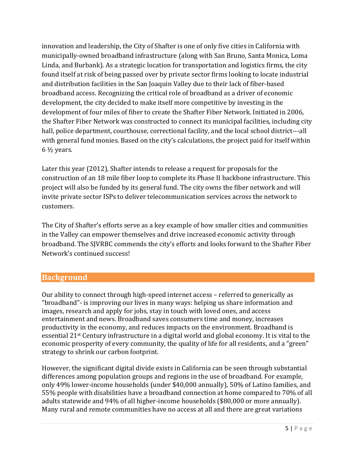innovation and leadership, the City of Shafter is one of only five cities in California with municipally-owned broadband infrastructure (along with San Bruno, Santa Monica, Loma Linda, and Burbank). As a strategic location for transportation and logistics firms, the city found itself at risk of being passed over by private sector firms looking to locate industrial and distribution facilities in the San Joaquin Valley due to their lack of fiber-based broadband access. Recognizing the critical role of broadband as a driver of economic development, the city decided to make itself more competitive by investing in the development of four miles of fiber to create the Shafter Fiber Network. Initiated in 2006, the Shafter Fiber Network was constructed to connect its municipal facilities, including city hall, police department, courthouse, correctional facility, and the local school district---all with general fund monies. Based on the city's calculations, the project paid for itself within  $6\frac{1}{2}$  years.

Later this year (2012), Shafter intends to release a request for proposals for the construction of an 18 mile fiber loop to complete its Phase II backbone infrastructure. This project will also be funded by its general fund. The city owns the fiber network and will invite private sector ISPs to deliver telecommunication services across the network to customers.

The City of Shafter's efforts serve as a key example of how smaller cities and communities in the Valley can empower themselves and drive increased economic activity through broadband. The SJVRBC commends the city's efforts and looks forward to the Shafter Fiber Network's continued success!

## **Background**

Our ability to connect through high-speed internet access – referred to generically as "broadband"- is improving our lives in many ways: helping us share information and images, research and apply for jobs, stay in touch with loved ones, and access entertainment and news. Broadband saves consumers time and money, increases productivity in the economy, and reduces impacts on the environment. Broadband is essential 21st Century infrastructure in a digital world and global economy. It is vital to the economic prosperity of every community, the quality of life for all residents, and a "green" strategy to shrink our carbon footprint.

However, the significant digital divide exists in California can be seen through substantial differences among population groups and regions in the use of broadband. For example, only 49% lower-income households (under \$40,000 annually), 50% of Latino families, and 55% people with disabilities have a broadband connection at home compared to 70% of all adults statewide and 94% of all higher-income households (\$80,000 or more annually). Many rural and remote communities have no access at all and there are great variations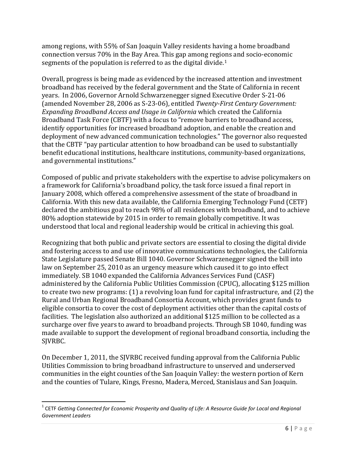among regions, with 55% of San Joaquin Valley residents having a home broadband connection versus 70% in the Bay Area. This gap among regions and socio-economic segments of the population is referred to as the digital divide.<sup>[1](#page-5-0)</sup>

Overall, progress is being made as evidenced by the increased attention and investment broadband has received by the federal government and the State of California in recent years. In 2006, Governor Arnold Schwarzenegger signed Executive Order S-21-06 (amended November 28, 2006 as S-23-06), entitled *Twenty‐First Century Government: Expanding Broadband Access and Usage in California* which created the California Broadband Task Force (CBTF) with a focus to "remove barriers to broadband access, identify opportunities for increased broadband adoption, and enable the creation and deployment of new advanced communication technologies." The governor also requested that the CBTF "pay particular attention to how broadband can be used to substantially benefit educational institutions, healthcare institutions, community-based organizations, and governmental institutions."

Composed of public and private stakeholders with the expertise to advise policymakers on a framework for California's broadband policy, the task force issued a final report in January 2008, which offered a comprehensive assessment of the state of broadband in California. With this new data available, the California Emerging Technology Fund (CETF) declared the ambitious goal to reach 98% of all residences with broadband, and to achieve 80% adoption statewide by 2015 in order to remain globally competitive. It was understood that local and regional leadership would be critical in achieving this goal.

Recognizing that both public and private sectors are essential to closing the digital divide and fostering access to and use of innovative communications technologies, the California State Legislature passed Senate Bill 1040. Governor Schwarzenegger signed the bill into law on September 25, 2010 as an urgency measure which caused it to go into effect immediately. SB 1040 expanded the California Advances Services Fund (CASF) administered by the California Public Utilities Commission (CPUC), allocating \$125 million to create two new programs: (1) a revolving loan fund for capital infrastructure, and (2) the Rural and Urban Regional Broadband Consortia Account, which provides grant funds to eligible consortia to cover the cost of deployment activities other than the capital costs of facilities. The legislation also authorized an additional \$125 million to be collected as a surcharge over five years to award to broadband projects. Through SB 1040, funding was made available to support the development of regional broadband consortia, including the SJVRBC.

On December 1, 2011, the SJVRBC received funding approval from the California Public Utilities Commission to bring broadband infrastructure to unserved and underserved communities in the eight counties of the San Joaquin Valley: the western portion of Kern and the counties of Tulare, Kings, Fresno, Madera, Merced, Stanislaus and San Joaquin.

<span id="page-5-0"></span> <sup>1</sup> CETF *Getting Connected for Economic Prosperity and Quality of Life: A Resource Guide for Local and Regional Government Leaders*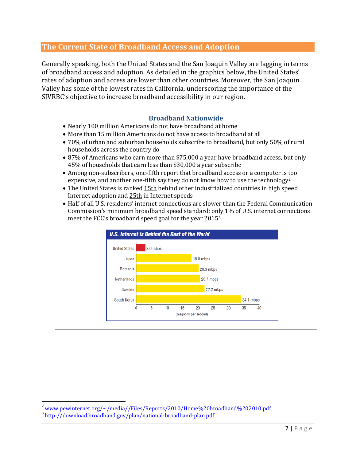## **The Current State of Broadband Access and Adoption**

Generally speaking, both the United States and the San Joaquin Valley are lagging in terms of broadband access and adoption. As detailed in the graphics below, the United States' rates of adoption and access are lower than other countries. Moreover, the San Joaquin Valley has some of the lowest rates in California, underscoring the importance of the SJVRBC's objective to increase broadband accessibility in our region.

## **Broadband Nationwide**

- Nearly 100 million Americans do not have broadband at home
- More than 15 million Americans do not have access to broadband at all
- 70% of urban and suburban households subscribe to broadband, but only 50% of rural households across the country do
- 87% of Americans who earn more than \$75,000 a year have broadband access, but only 45% of households that earn less than \$30,000 a year subscribe
- Among non-subscribers, one-fifth report that broadband access or a computer is [to](#page-6-0)o expensive, and another one-fifth say they do not know how to use the technology<sup>2</sup>
- The United States is ranked 15th behind other industrialized countries in high speed Internet adoption and 25th in Internet speeds
- Half of all U.S. residents' internet connections are slower than the Federal Communication Commission's minimum broadband speed standard; only 1% of U.S. internet connections meet the FCC's broadband speed goal for the year 2015[3](#page-6-1)



<span id="page-6-0"></span><sup>&</sup>lt;sup>2</sup> www.pewinternet.org/~/media//Files/Reports/2010/Home%20broadband%202010.pdf<br><sup>3</sup> <http://download.broadband.gov/plan/national-broadband-plan.pdf>

<span id="page-6-1"></span>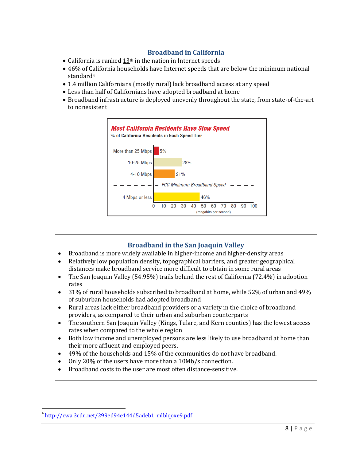## **Broadband in California**

- California is ranked  $13<sup>th</sup>$  in the nation in Internet speeds
- 46% of California households have Internet speeds that are below the minimum national standard[4](#page-7-0)
- 1.4 million Californians (mostly rural) lack broadband access at any speed
- Less than half of Californians have adopted broadband at home
- Broadband infrastructure is deployed unevenly throughout the state, from state-of-the-art to nonexistent



## **Broadband in the San Joaquin Valley**

- Broadband is more widely available in higher-income and higher-density areas
- Relatively low population density, topographical barriers, and greater geographical distances make broadband service more difficult to obtain in some rural areas
- The San Joaquin Valley (54.95%) trails behind the rest of California (72.4%) in adoption rates
- 31% of rural households subscribed to broadband at home, while 52% of urban and 49% of suburban households had adopted broadband
- Rural areas lack either broadband providers or a variety in the choice of broadband providers, as compared to their urban and suburban counterparts
- The southern San Joaquin Valley (Kings, Tulare, and Kern counties) has the lowest access rates when compared to the whole region
- Both low income and unemployed persons are less likely to use broadband at home than their more affluent and employed peers.
- 49% of the households and 15% of the communities do not have broadband.
- Only 20% of the users have more than a 10Mb/s connection.
- Broadband costs to the user are most often distance-sensitive.

<span id="page-7-0"></span><sup>&</sup>lt;sup>4</sup> [http://cwa.3cdn.net/299ed94e144d5adeb1\\_mlblqoxe9.pdf](http://cwa.3cdn.net/299ed94e144d5adeb1_mlblqoxe9.pdf)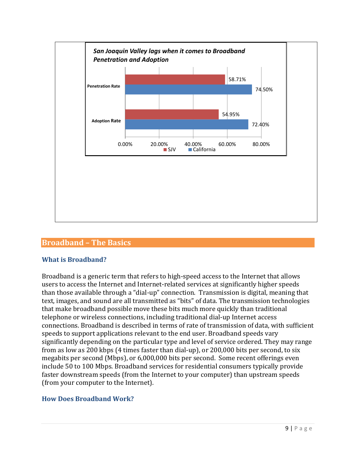

## **Broadband – The Basics**

#### **What is Broadband?**

Broadband is a generic term that refers to high-speed access to the Internet that allows users to access the Internet and Internet-related services at significantly higher speeds than those available through a "dial-up" connection. Transmission is digital, meaning that text, images, and sound are all transmitted as "bits" of data. The transmission technologies that make broadband possible move these bits much more quickly than traditional telephone or wireless connections, including traditional dial-up Internet access connections. Broadband is described in terms of rate of transmission of data, with sufficient speeds to support applications relevant to the end user. Broadband speeds vary significantly depending on the particular type and level of service ordered. They may range from as low as 200 kbps (4 times faster than dial-up), or 200,000 bits per second, to six megabits per second (Mbps), or 6,000,000 bits per second. Some recent offerings even include 50 to 100 Mbps. Broadband services for residential consumers typically provide faster downstream speeds (from the Internet to your computer) than upstream speeds (from your computer to the Internet).

#### **How Does Broadband Work?**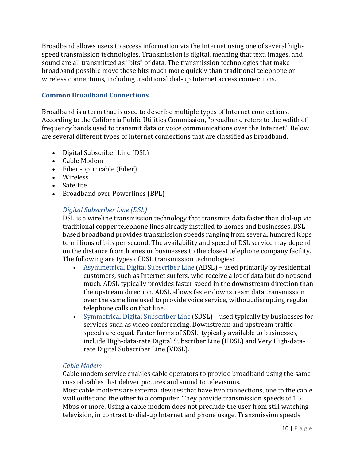Broadband allows users to access information via the Internet using one of several highspeed transmission technologies. Transmission is digital, meaning that text, images, and sound are all transmitted as "bits" of data. The transmission technologies that make broadband possible move these bits much more quickly than traditional telephone or wireless connections, including traditional dial-up Internet access connections.

#### **Common Broadband Connections**

Broadband is a term that is used to describe multiple types of Internet connections. According to the California Public Utilities Commission, "broadband refers to the wdith of frequency bands used to transmit data or voice communications over the Internet." Below are several different types of Internet connections that are classified as broadband:

- Digital Subscriber Line (DSL)
- Cable Modem
- Fiber -optic cable (Fiber)
- Wireless
- Satellite
- Broadband over Powerlines (BPL)

#### *Digital Subscriber Line (DSL)*

DSL is a wireline transmission technology that transmits data faster than dial-up via traditional copper telephone lines already installed to homes and businesses. DSLbased broadband provides transmission speeds ranging from several hundred Kbps to millions of bits per second. The availability and speed of DSL service may depend on the distance from homes or businesses to the closest telephone company facility. The following are types of DSL transmission technologies:<br>• Asymmetrical Digital Subscriber Line (ADSL) – used

- Asymmetrical Digital Subscriber Line (ADSL) used primarily by residential customers, such as Internet surfers, who receive a lot of data but do not send much. ADSL typically provides faster speed in the downstream direction than the upstream direction. ADSL allows faster downstream data transmission over the same line used to provide voice service, without disrupting regular telephone calls on that line.
- Symmetrical Digital Subscriber Line (SDSL) used typically by businesses for services such as video conferencing. Downstream and upstream traffic speeds are equal. Faster forms of SDSL, typically available to businesses, include High-data-rate Digital Subscriber Line (HDSL) and Very High-datarate Digital Subscriber Line (VDSL).

#### *Cable Modem*

Cable modem service enables cable operators to provide broadband using the same coaxial cables that deliver pictures and sound to televisions.

Most cable modems are external devices that have two connections, one to the cable wall outlet and the other to a computer. They provide transmission speeds of 1.5 Mbps or more. Using a cable modem does not preclude the user from still watching television, in contrast to dial-up Internet and phone usage. Transmission speeds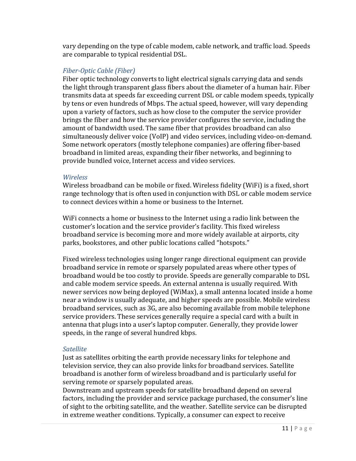vary depending on the type of cable modem, cable network, and traffic load. Speeds are comparable to typical residential DSL.

#### *Fiber-Optic Cable (Fiber)*

Fiber optic technology converts to light electrical signals carrying data and sends the light through transparent glass fibers about the diameter of a human hair. Fiber transmits data at speeds far exceeding current DSL or cable modem speeds, typically by tens or even hundreds of Mbps. The actual speed, however, will vary depending upon a variety of factors, such as how close to the computer the service provider brings the fiber and how the service provider configures the service, including the amount of bandwidth used. The same fiber that provides broadband can also simultaneously deliver voice (VoIP) and video services, including video-on-demand. Some network operators (mostly telephone companies) are offering fiber-based broadband in limited areas, expanding their fiber networks, and beginning to provide bundled voice, Internet access and video services.

#### *Wireless*

Wireless broadband can be mobile or fixed. Wireless fidelity (WiFi) is a fixed, short range technology that is often used in conjunction with DSL or cable modem service to connect devices within a home or business to the Internet.

WiFi connects a home or business to the Internet using a radio link between the customer's location and the service provider's facility. This fixed wireless broadband service is becoming more and more widely available at airports, city parks, bookstores, and other public locations called "hotspots."

Fixed wireless technologies using longer range directional equipment can provide broadband service in remote or sparsely populated areas where other types of broadband would be too costly to provide. Speeds are generally comparable to DSL and cable modem service speeds. An external antenna is usually required. With newer services now being deployed (WiMax), a small antenna located inside a home near a window is usually adequate, and higher speeds are possible. Mobile wireless broadband services, such as 3G, are also becoming available from mobile telephone service providers. These services generally require a special card with a built in antenna that plugs into a user's laptop computer. Generally, they provide lower speeds, in the range of several hundred kbps.

#### *Satellite*

Just as satellites orbiting the earth provide necessary links for telephone and television service, they can also provide links for broadband services. Satellite broadband is another form of wireless broadband and is particularly useful for serving remote or sparsely populated areas.

Downstream and upstream speeds for satellite broadband depend on several factors, including the provider and service package purchased, the consumer's line of sight to the orbiting satellite, and the weather. Satellite service can be disrupted in extreme weather conditions. Typically, a consumer can expect to receive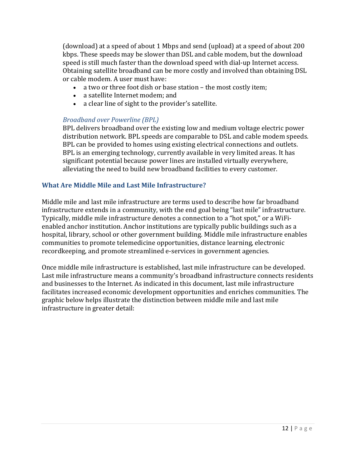(download) at a speed of about 1 Mbps and send (upload) at a speed of about 200 kbps. These speeds may be slower than DSL and cable modem, but the download speed is still much faster than the download speed with dial-up Internet access. Obtaining satellite broadband can be more costly and involved than obtaining DSL or cable modem. A user must have:

- a two or three foot dish or base station the most costly item;<br>• a satellite Internet modem; and
- a satellite Internet modem; and
- a clear line of sight to the provider's satellite.

#### *Broadband over Powerline (BPL)*

BPL delivers broadband over the existing low and medium voltage electric power distribution network. BPL speeds are comparable to DSL and cable modem speeds. BPL can be provided to homes using existing electrical connections and outlets. BPL is an emerging technology, currently available in very limited areas. It has significant potential because power lines are installed virtually everywhere, alleviating the need to build new broadband facilities to every customer.

#### **What Are Middle Mile and Last Mile Infrastructure?**

Middle mile and last mile infrastructure are terms used to describe how far broadband infrastructure extends in a community, with the end goal being "last mile" infrastructure. Typically, middle mile infrastructure denotes a connection to a "hot spot," or a WiFienabled anchor institution. Anchor institutions are typically public buildings such as a hospital, library, school or other government building. Middle mile infrastructure enables communities to promote telemedicine opportunities, distance learning, electronic recordkeeping, and promote streamlined e-services in government agencies.

Once middle mile infrastructure is established, last mile infrastructure can be developed. Last mile infrastructure means a community's broadband infrastructure connects residents and businesses to the Internet. As indicated in this document, last mile infrastructure facilitates increased economic development opportunities and enriches communities. The graphic below helps illustrate the distinction between middle mile and last mile infrastructure in greater detail: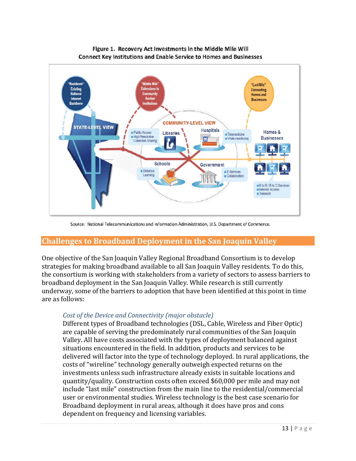

#### Figure 1. Recovery Act Investments in the Middle Mile Will **Connect Key Institutions and Enable Service to Homes and Businesses**

Source: National Telecommunications and Information Administration, U.S. Department of Commerce.

## **Challenges to Broadband Deployment in the San Joaquin Valley**

One objective of the San Joaquin Valley Regional Broadband Consortium is to develop strategies for making broadband available to all San Joaquin Valley residents. To do this, the consortium is working with stakeholders from a variety of sectors to assess barriers to broadband deployment in the San Joaquin Valley. While research is still currently underway, some of the barriers to adoption that have been identified at this point in time are as follows:

#### *Cost of the Device and Connectivity (major obstacle)*

Different types of Broadband technologies (DSL, Cable, Wireless and Fiber Optic) are capable of serving the predominately rural communities of the San Joaquin Valley. All have costs associated with the types of deployment balanced against situations encountered in the field. In addition, products and services to be delivered will factor into the type of technology deployed. In rural applications, the costs of "wireline" technology generally outweigh expected returns on the investments unless such infrastructure already exists in suitable locations and quantity/quality. Construction costs often exceed \$60,000 per mile and may not include "last mile" construction from the main line to the residential/commercial user or environmental studies. Wireless technology is the best case scenario for Broadband deployment in rural areas, although it does have pros and cons dependent on frequency and licensing variables.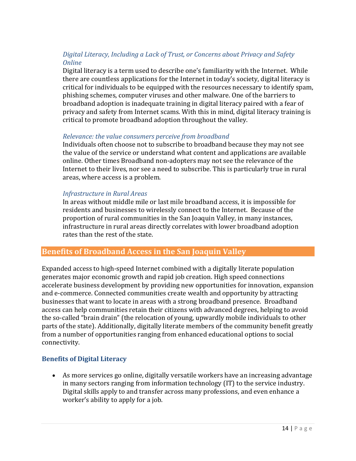## *Digital Literacy, Including a Lack of Trust, or Concerns about Privacy and Safety Online*

Digital literacy is a term used to describe one's familiarity with the Internet. While there are countless applications for the Internet in today's society, digital literacy is critical for individuals to be equipped with the resources necessary to identify spam, phishing schemes, computer viruses and other malware. One of the barriers to broadband adoption is inadequate training in digital literacy paired with a fear of privacy and safety from Internet scams. With this in mind, digital literacy training is critical to promote broadband adoption throughout the valley.

#### *Relevance: the value consumers perceive from broadband*

Individuals often choose not to subscribe to broadband because they may not see the value of the service or understand what content and applications are available online. Other times Broadband non-adopters may not see the relevance of the Internet to their lives, nor see a need to subscribe. This is particularly true in rural areas, where access is a problem.

#### *Infrastructure in Rural Areas*

In areas without middle mile or last mile broadband access, it is impossible for residents and businesses to wirelessly connect to the Internet. Because of the proportion of rural communities in the San Joaquin Valley, in many instances, infrastructure in rural areas directly correlates with lower broadband adoption rates than the rest of the state.

## **Benefits of Broadband Access in the San Joaquin Valley**

Expanded access to high-speed Internet combined with a digitally literate population generates major economic growth and rapid job creation. High speed connections accelerate business development by providing new opportunities for innovation, expansion and e-commerce. Connected communities create wealth and opportunity by attracting businesses that want to locate in areas with a strong broadband presence. Broadband access can help communities retain their citizens with advanced degrees, helping to avoid the so-called "brain drain" (the relocation of young, upwardly mobile individuals to other parts of the state). Additionally, digitally literate members of the community benefit greatly from a number of opportunities ranging from enhanced educational options to social connectivity.

#### **Benefits of Digital Literacy**

• As more services go online, digitally versatile workers have an increasing advantage in many sectors ranging from information technology (IT) to the service industry. Digital skills apply to and transfer across many professions, and even enhance a worker's ability to apply for a job.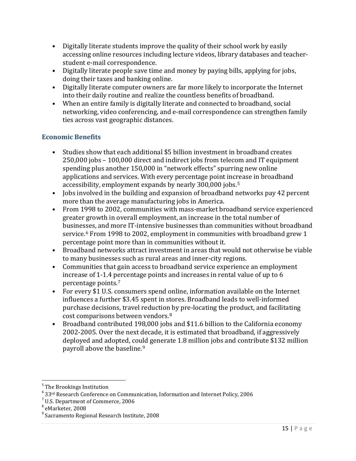- Digitally literate students improve the quality of their school work by easily accessing online resources including lecture videos, library databases and teacherstudent e-mail correspondence.
- Digitally literate people save time and money by paying bills, applying for jobs, doing their taxes and banking online.
- Digitally literate computer owners are far more likely to incorporate the Internet into their daily routine and realize the countless benefits of broadband.
- When an entire family is digitally literate and connected to broadband, social networking, video conferencing, and e-mail correspondence can strengthen family ties across vast geographic distances.

## **Economic Benefits**

- Studies show that each additional \$5 billion investment in broadband creates 250,000 jobs – 100,000 direct and indirect jobs from telecom and IT equipment spending plus another 150,000 in "network effects" spurring new online applications and services. With every percentage point increase in broadband accessibility, employment expands by nearly 300,000 jobs.[5](#page-14-0)
- Jobs involved in the building and expansion of broadband networks pay 42 percent more than the average manufacturing jobs in America.
- From 1998 to 2002, communities with mass-market broadband service experienced greater growth in overall employment, an increase in the total number of businesses, and more IT-intensive businesses than communities without broadband service.<sup>[6](#page-14-1)</sup> From 1998 to 2002, employment in communities with broadband grew 1 percentage point more than in communities without it.
- Broadband networks attract investment in areas that would not otherwise be viable to many businesses such as rural areas and inner-city regions.
- Communities that gain access to broadband service experience an employment increase of 1-1.4 percentage points and increases in rental value of up to 6 percentage points.[7](#page-14-2)
- For every \$1 U.S. consumers spend online, information available on the Internet influences a further \$3.45 spent in stores. Broadband leads to well-informed purchase decisions, travel reduction by pre-locating the product, and facilitating cost comparisons between vendors.[8](#page-14-3)
- Broadband contributed 198,000 jobs and \$11.6 billion to the California economy 2002-2005. Over the next decade, it is estimated that broadband, if aggressively deployed and adopted, co[uld](#page-14-4) generate 1.8 million jobs and contribute \$132 million payroll above the baseline.9

<span id="page-14-1"></span><span id="page-14-0"></span><sup>&</sup>lt;sup>5</sup> The Brookings Institution<br><sup>6</sup> 33<sup>rd</sup> Research Conference on Communication, Information and Internet Policy, 2006<br><sup>7</sup> U.S. Department of Commerce, 2006

<span id="page-14-2"></span>

<span id="page-14-3"></span><sup>8</sup> eMarketer, 2008

<span id="page-14-4"></span><sup>9</sup> Sacramento Regional Research Institute, 2008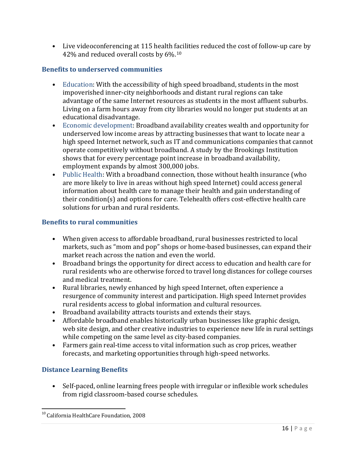• Live videoconferencing at 115 health facilities reduced the cost of follow-up care by 42% and reduced overall costs by 6%.[10](#page-15-0)

## **Benefits to underserved communities**

- Education: With the accessibility of high speed broadband, students in the most impoverished inner-city neighborhoods and distant rural regions can take advantage of the same Internet resources as students in the most affluent suburbs. Living on a farm hours away from city libraries would no longer put students at an educational disadvantage.
- Economic development: Broadband availability creates wealth and opportunity for underserved low income areas by attracting businesses that want to locate near a high speed Internet network, such as IT and communications companies that cannot operate competitively without broadband. A study by the Brookings Institution shows that for every percentage point increase in broadband availability, employment expands by almost 300,000 jobs.
- Public Health: With a broadband connection, those without health insurance (who are more likely to live in areas without high speed Internet) could access general information about health care to manage their health and gain understanding of their condition(s) and options for care. Telehealth offers cost-effective health care solutions for urban and rural residents.

## **Benefits to rural communities**

- When given access to affordable broadband, rural businesses restricted to local markets, such as "mom and pop" shops or home-based businesses, can expand their market reach across the nation and even the world.
- Broadband brings the opportunity for direct access to education and health care for rural residents who are otherwise forced to travel long distances for college courses and medical treatment.
- Rural libraries, newly enhanced by high speed Internet, often experience a resurgence of community interest and participation. High speed Internet provides rural residents access to global information and cultural resources.
- Broadband availability attracts tourists and extends their stays.
- Affordable broadband enables historically urban businesses like graphic design, web site design, and other creative industries to experience new life in rural settings while competing on the same level as city-based companies.
- Farmers gain real-time access to vital information such as crop prices, weather forecasts, and marketing opportunities through high-speed networks.

## **Distance Learning Benefits**

• Self-paced, online learning frees people with irregular or inflexible work schedules from rigid classroom-based course schedules.

<span id="page-15-0"></span><sup>&</sup>lt;sup>10</sup> California HealthCare Foundation, 2008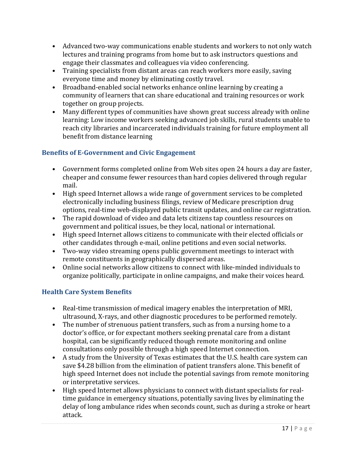- Advanced two-way communications enable students and workers to not only watch lectures and training programs from home but to ask instructors questions and engage their classmates and colleagues via video conferencing.
- Training specialists from distant areas can reach workers more easily, saving everyone time and money by eliminating costly travel.
- Broadband-enabled social networks enhance online learning by creating a community of learners that can share educational and training resources or work together on group projects.
- Many different types of communities have shown great success already with online learning: Low income workers seeking advanced job skills, rural students unable to reach city libraries and incarcerated individuals training for future employment all benefit from distance learning

## **Benefits of E-Government and Civic Engagement**

- Government forms completed online from Web sites open 24 hours a day are faster, cheaper and consume fewer resources than hard copies delivered through regular mail.
- High speed Internet allows a wide range of government services to be completed electronically including business filings, review of Medicare prescription drug options, real-time web-displayed public transit updates, and online car registration.
- The rapid download of video and data lets citizens tap countless resources on government and political issues, be they local, national or international.
- High speed Internet allows citizens to communicate with their elected officials or other candidates through e-mail, online petitions and even social networks.
- Two-way video streaming opens public government meetings to interact with remote constituents in geographically dispersed areas.
- Online social networks allow citizens to connect with like-minded individuals to organize politically, participate in online campaigns, and make their voices heard.

## **Health Care System Benefits**

- Real-time transmission of medical imagery enables the interpretation of MRI, ultrasound, X-rays, and other diagnostic procedures to be performed remotely.
- The number of strenuous patient transfers, such as from a nursing home to a doctor's office, or for expectant mothers seeking prenatal care from a distant hospital, can be significantly reduced though remote monitoring and online consultations only possible through a high speed Internet connection.
- A study from the University of Texas estimates that the U.S. health care system can save \$4.28 billion from the elimination of patient transfers alone. This benefit of high speed Internet does not include the potential savings from remote monitoring or interpretative services.
- High speed Internet allows physicians to connect with distant specialists for realtime guidance in emergency situations, potentially saving lives by eliminating the delay of long ambulance rides when seconds count, such as during a stroke or heart attack.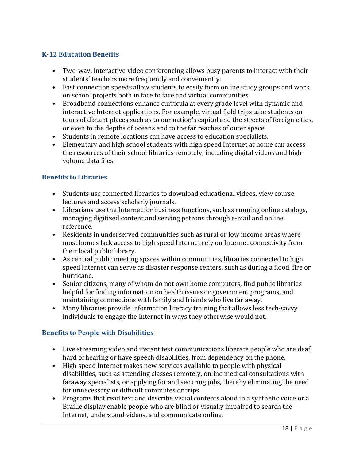## **K-12 Education Benefits**

- Two-way, interactive video conferencing allows busy parents to interact with their students' teachers more frequently and conveniently.
- Fast connection speeds allow students to easily form online study groups and work on school projects both in face to face and virtual communities.
- Broadband connections enhance curricula at every grade level with dynamic and interactive Internet applications. For example, virtual field trips take students on tours of distant places such as to our nation's capitol and the streets of foreign cities, or even to the depths of oceans and to the far reaches of outer space.
- Students in remote locations can have access to education specialists.
- Elementary and high school students with high speed Internet at home can access the resources of their school libraries remotely, including digital videos and highvolume data files.

#### **Benefits to Libraries**

- Students use connected libraries to download educational videos, view course lectures and access scholarly journals.
- Librarians use the Internet for business functions, such as running online catalogs, managing digitized content and serving patrons through e-mail and online reference.
- Residents in underserved communities such as rural or low income areas where most homes lack access to high speed Internet rely on Internet connectivity from their local public library.
- As central public meeting spaces within communities, libraries connected to high speed Internet can serve as disaster response centers, such as during a flood, fire or hurricane.
- Senior citizens, many of whom do not own home computers, find public libraries helpful for finding information on health issues or government programs, and maintaining connections with family and friends who live far away.
- Many libraries provide information literacy training that allows less tech-savvy individuals to engage the Internet in ways they otherwise would not.

## **Benefits to People with Disabilities**

- Live streaming video and instant text communications liberate people who are deaf, hard of hearing or have speech disabilities, from dependency on the phone.
- High speed Internet makes new services available to people with physical disabilities, such as attending classes remotely, online medical consultations with faraway specialists, or applying for and securing jobs, thereby eliminating the need for unnecessary or difficult commutes or trips.
- Programs that read text and describe visual contents aloud in a synthetic voice or a Braille display enable people who are blind or visually impaired to search the Internet, understand videos, and communicate online.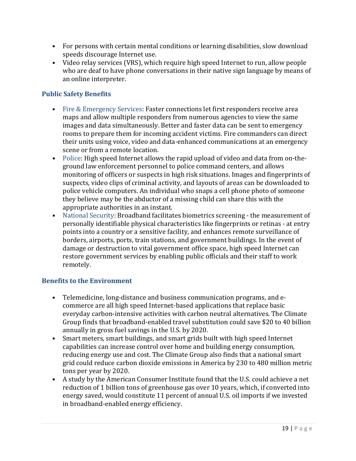- For persons with certain mental conditions or learning disabilities, slow download speeds discourage Internet use.
- Video relay services (VRS), which require high speed Internet to run, allow people who are deaf to have phone conversations in their native sign language by means of an online interpreter.

## **Public Safety Benefits**

- Fire & Emergency Services: Faster connections let first responders receive area maps and allow multiple responders from numerous agencies to view the same images and data simultaneously. Better and faster data can be sent to emergency rooms to prepare them for incoming accident victims. Fire commanders can direct their units using voice, video and data-enhanced communications at an emergency scene or from a remote location.
- **•** Police: High speed Internet allows the rapid upload of video and data from on-theground law enforcement personnel to police command centers, and allows monitoring of officers or suspects in high risk situations. Images and fingerprints of suspects, video clips of criminal activity, and layouts of areas can be downloaded to police vehicle computers. An individual who snaps a cell phone photo of someone they believe may be the abductor of a missing child can share this with the appropriate authorities in an instant.
- National Security: Broadband facilitates biometrics screening the measurement of personally identifiable physical characteristics like fingerprints or retinas - at entry points into a country or a sensitive facility, and enhances remote surveillance of borders, airports, ports, train stations, and government buildings. In the event of damage or destruction to vital government office space, high speed Internet can restore government services by enabling public officials and their staff to work remotely.

## **Benefits to the Environment**

- Telemedicine, long-distance and business communication programs, and ecommerce are all high speed Internet-based applications that replace basic everyday carbon-intensive activities with carbon neutral alternatives. The Climate Group finds that broadband-enabled travel substitution could save \$20 to 40 billion annually in gross fuel savings in the U.S. by 2020.
- Smart meters, smart buildings, and smart grids built with high speed Internet capabilities can increase control over home and building energy consumption, reducing energy use and cost. The Climate Group also finds that a national smart grid could reduce carbon dioxide emissions in America by 230 to 480 million metric tons per year by 2020.
- A study by the American Consumer Institute found that the U.S. could achieve a net reduction of 1 billion tons of greenhouse gas over 10 years, which, if converted into energy saved, would constitute 11 percent of annual U.S. oil imports if we invested in broadband-enabled energy efficiency.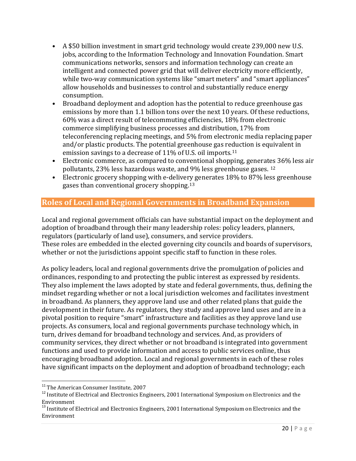- A \$50 billion investment in smart grid technology would create 239,000 new U.S. jobs, according to the Information Technology and Innovation Foundation. Smart communications networks, sensors and information technology can create an intelligent and connected power grid that will deliver electricity more efficiently, while two-way communication systems like "smart meters" and "smart appliances" allow households and businesses to control and substantially reduce energy consumption.
- Broadband deployment and adoption has the potential to reduce greenhouse gas emissions by more than 1.1 billion tons over the next 10 years. Of these reductions, 60% was a direct result of telecommuting efficiencies, 18% from electronic commerce simplifying business processes and distribution, 17% from teleconferencing replacing meetings, and 5% from electronic media replacing paper and/or plastic products. The potential greenhouse gas reduction is equivalent in emission savings to a decrease of [11](#page-19-0)% of U.S. oil imports.<sup>11</sup>
- Electronic commerce, as compared to conventional shopping, generates 36% less air pollutants, 23% less hazardous waste, and 9% less greenhouse gases. [12](#page-19-1)
- Electronic grocery shopping with e-delivery generates 18% to 87% less greenhouse gases than conventional grocery shopping.[13](#page-19-2)

## **Roles of Local and Regional Governments in Broadband Expansion**

Local and regional government officials can have substantial impact on the deployment and adoption of broadband through their many leadership roles: policy leaders, planners, regulators (particularly of land use), consumers, and service providers. These roles are embedded in the elected governing city councils and boards of supervisors, whether or not the jurisdictions appoint specific staff to function in these roles.

As policy leaders, local and regional governments drive the promulgation of policies and ordinances, responding to and protecting the public interest as expressed by residents. They also implement the laws adopted by state and federal governments, thus, defining the mindset regarding whether or not a local jurisdiction welcomes and facilitates investment in broadband. As planners, they approve land use and other related plans that guide the development in their future. As regulators, they study and approve land uses and are in a pivotal position to require "smart" infrastructure and facilities as they approve land use projects. As consumers, local and regional governments purchase technology which, in turn, drives demand for broadband technology and services. And, as providers of community services, they direct whether or not broadband is integrated into government functions and used to provide information and access to public services online, thus encouraging broadband adoption. Local and regional governments in each of these roles have significant impacts on the deployment and adoption of broadband technology; each

<span id="page-19-1"></span><span id="page-19-0"></span><sup>&</sup>lt;sup>11</sup> The American Consumer Institute, 2007<br><sup>12</sup> Institute of Electrical and Electronics Engineers, 2001 International Symposium on Electronics and the Environment

<span id="page-19-2"></span> $^{13}$  Institute of Electrical and Electronics Engineers, 2001 International Symposium on Electronics and the Environment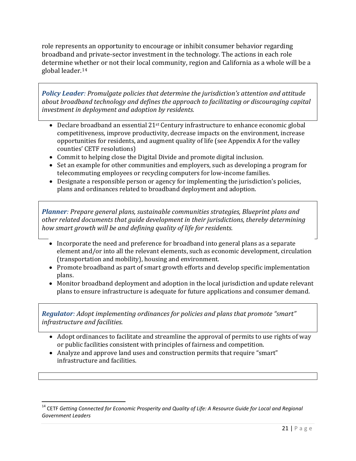role represents an opportunity to encourage or inhibit consumer behavior regarding broadband and private-sector investment in the technology. The actions in each role determine whether or not their local community, region and California as a whole will be a global leader.[14](#page-20-0)

*Policy Leader: Promulgate policies that determine the jurisdiction's attention and attitude about broadband technology and defines the approach to facilitating or discouraging capital investment in deployment and adoption by residents.* 

- Declare broadband an essential 21<sup>st</sup> Century infrastructure to enhance economic global competitiveness, improve productivity, decrease impacts on the environment, increase opportunities for residents, and augment quality of life (see Appendix A for the valley counties' CETF resolutions)
- Commit to helping close the Digital Divide and promote digital inclusion.
- Set an example for other communities and employers, such as developing a program for telecommuting employees or recycling computers for low-income families.
- Designate a responsible person or agency for implementing the jurisdiction's policies, plans and ordinances related to broadband deployment and adoption.

*Planner: Prepare general plans, sustainable communities strategies, Blueprint plans and other related documents that guide development in their jurisdictions, thereby determining how smart growth will be and defining quality of life for residents.* 

- Incorporate the need and preference for broadband into general plans as a separate element and/or into all the relevant elements, such as economic development, circulation (transportation and mobility), housing and environment.
- Promote broadband as part of smart growth efforts and develop specific implementation plans.
- Monitor broadband deployment and adoption in the local jurisdiction and update relevant plans to ensure infrastructure is adequate for future applications and consumer demand.

*Regulator: Adopt implementing ordinances for policies and plans that promote "smart" infrastructure and facilities.* 

- Adopt ordinances to facilitate and streamline the approval of permits to use rights of way or public facilities consistent with principles of fairness and competition.
- Analyze and approve land uses and construction permits that require "smart" infrastructure and facilities.

<span id="page-20-0"></span><sup>&</sup>lt;sup>14</sup> CETF Getting Connected for Economic Prosperity and Quality of Life: A Resource Guide for Local and Regional *Government Leaders*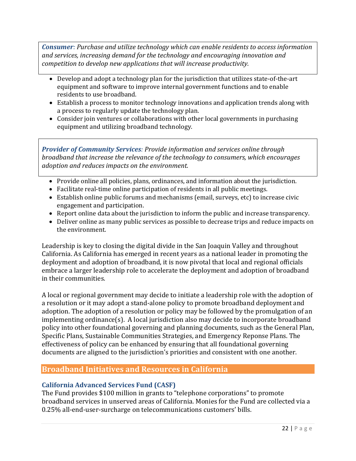*Consumer: Purchase and utilize technology which can enable residents to access information and services, increasing demand for the technology and encouraging innovation and competition to develop new applications that will increase productivity.* 

- Develop and adopt a technology plan for the jurisdiction that utilizes state-of-the-art equipment and software to improve internal government functions and to enable residents to use broadband.
- Establish a process to monitor technology innovations and application trends along with a process to regularly update the technology plan.
- Consider join ventures or collaborations with other local governments in purchasing equipment and utilizing broadband technology.

*Provider of Community Services: Provide information and services online through broadband that increase the relevance of the technology to consumers, which encourages adoption and reduces impacts on the environment.* 

- Provide online all policies, plans, ordinances, and information about the jurisdiction.
- Facilitate real-time online participation of residents in all public meetings.
- Establish online public forums and mechanisms (email, surveys, etc) to increase civic engagement and participation.
- Report online data about the jurisdiction to inform the public and increase transparency.
- Deliver online as many public services as possible to decrease trips and reduce impacts on the environment.

Leadership is key to closing the digital divide in the San Joaquin Valley and throughout California. As California has emerged in recent years as a national leader in promoting the deployment and adoption of broadband, it is now pivotal that local and regional officials embrace a larger leadership role to accelerate the deployment and adoption of broadband in their communities.

A local or regional government may decide to initiate a leadership role with the adoption of a resolution or it may adopt a stand-alone policy to promote broadband deployment and adoption. The adoption of a resolution or policy may be followed by the promulgation of an implementing ordinance(s). A local jurisdiction also may decide to incorporate broadband policy into other foundational governing and planning documents, such as the General Plan, Specific Plans, Sustainable Communities Strategies, and Emergency Reponse Plans. The effectiveness of policy can be enhanced by ensuring that all foundational governing documents are aligned to the jurisdiction's priorities and consistent with one another.

## **Broadband Initiatives and Resources in California**

## **California Advanced Services Fund (CASF)**

The Fund provides \$100 million in grants to "telephone corporations" to promote broadband services in unserved areas of California. Monies for the Fund are collected via a 0.25% all-end-user-surcharge on telecommunications customers' bills.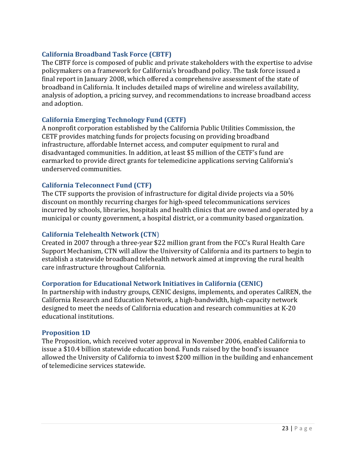#### **California Broadband Task Force (CBTF)**

The CBTF force is composed of public and private stakeholders with the expertise to advise policymakers on a framework for California's broadband policy. The task force issued a final report in January 2008, which offered a comprehensive assessment of the state of broadband in California. It includes detailed maps of wireline and wireless availability, analysis of adoption, a pricing survey, and recommendations to increase broadband access and adoption.

#### **California Emerging Technology Fund (CETF)**

A nonprofit corporation established by the California Public Utilities Commission, the CETF provides matching funds for projects focusing on providing broadband infrastructure, affordable Internet access, and computer equipment to rural and disadvantaged communities. In addition, at least \$5 million of the CETF's fund are earmarked to provide direct grants for telemedicine applications serving California's underserved communities.

#### **California Teleconnect Fund (CTF)**

The CTF supports the provision of infrastructure for digital divide projects via a 50% discount on monthly recurring charges for high-speed telecommunications services incurred by schools, libraries, hospitals and health clinics that are owned and operated by a municipal or county government, a hospital district, or a community based organization.

#### **California Telehealth Network (CTN**)

Created in 2007 through a three-year \$22 million grant from the FCC's Rural Health Care Support Mechanism, CTN will allow the University of California and its partners to begin to establish a statewide broadband telehealth network aimed at improving the rural health care infrastructure throughout California.

#### **Corporation for Educational Network Initiatives in California (CENIC)**

In partnership with industry groups, CENIC designs, implements, and operates CalREN, the California Research and Education Network, a high-bandwidth, high-capacity network designed to meet the needs of California education and research communities at K-20 educational institutions.

#### **Proposition 1D**

The Proposition, which received voter approval in November 2006, enabled California to issue a \$10.4 billion statewide education bond. Funds raised by the bond's issuance allowed the University of California to invest \$200 million in the building and enhancement of telemedicine services statewide.